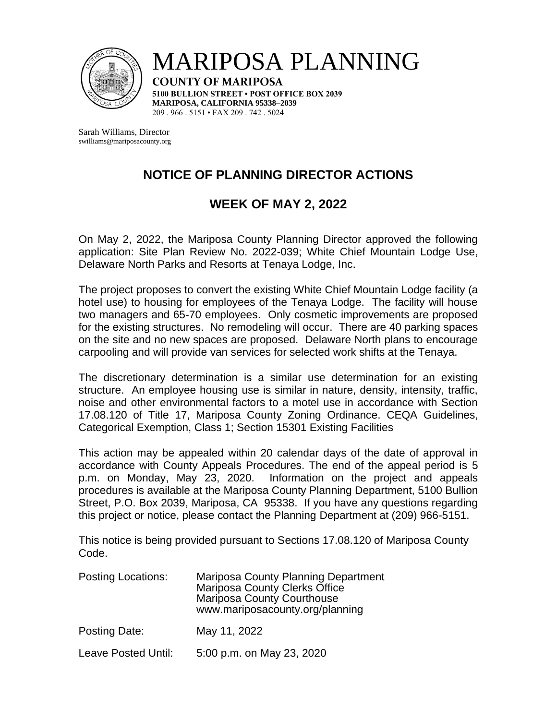

MARIPOSA PLANNING

**COUNTY OF MARIPOSA 5100 BULLION STREET • POST OFFICE BOX 2039 MARIPOSA, CALIFORNIA 95338–2039** 209 . 966 . 5151 • FAX 209 . 742 . 5024

Sarah Williams, Director swilliams@mariposacounty.org

## **NOTICE OF PLANNING DIRECTOR ACTIONS**

## **WEEK OF MAY 2, 2022**

On May 2, 2022, the Mariposa County Planning Director approved the following application: Site Plan Review No. 2022-039; White Chief Mountain Lodge Use, Delaware North Parks and Resorts at Tenaya Lodge, Inc.

The project proposes to convert the existing White Chief Mountain Lodge facility (a hotel use) to housing for employees of the Tenaya Lodge. The facility will house two managers and 65-70 employees. Only cosmetic improvements are proposed for the existing structures. No remodeling will occur. There are 40 parking spaces on the site and no new spaces are proposed. Delaware North plans to encourage carpooling and will provide van services for selected work shifts at the Tenaya.

The discretionary determination is a similar use determination for an existing structure. An employee housing use is similar in nature, density, intensity, traffic, noise and other environmental factors to a motel use in accordance with Section 17.08.120 of Title 17, Mariposa County Zoning Ordinance. CEQA Guidelines, Categorical Exemption, Class 1; Section 15301 Existing Facilities

This action may be appealed within 20 calendar days of the date of approval in accordance with County Appeals Procedures. The end of the appeal period is 5 p.m. on Monday, May 23, 2020. Information on the project and appeals procedures is available at the Mariposa County Planning Department, 5100 Bullion Street, P.O. Box 2039, Mariposa, CA 95338. If you have any questions regarding this project or notice, please contact the Planning Department at (209) 966-5151.

This notice is being provided pursuant to Sections 17.08.120 of Mariposa County Code.

| <b>Posting Locations:</b> | Mariposa County Planning Department<br><b>Mariposa County Clerks Office</b><br><b>Mariposa County Courthouse</b><br>www.mariposacounty.org/planning |
|---------------------------|-----------------------------------------------------------------------------------------------------------------------------------------------------|
| Posting Date:             | May 11, 2022                                                                                                                                        |
| Leave Posted Until:       | 5:00 p.m. on May 23, 2020                                                                                                                           |